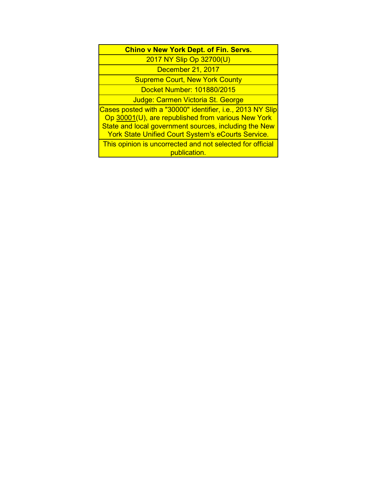# **Chino v New York Dept. of Fin. Servs.**

2017 NY Slip Op 32700(U)

December 21, 2017

Supreme Court, New York County Docket Number: 101880/2015

Judge: Carmen Victoria St. George

Cases posted with a "30000" identifier, i.e., 2013 NY Slip Op 30001(U), are republished from various New York State and local government sources, including the New York State Unified Court System's eCourts Service.

This opinion is uncorrected and not selected for official publication.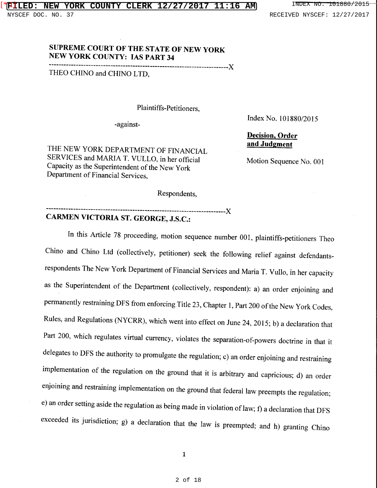# **SUPREME COURT OF THE STATE OF NEW YORK NEW YORK COUNTY: IAS PART 34**

-------------------------------------------------------------------------)(

THEO CHINO and CHINO LTD,

#### Plaintiffs-Petitioners,

-against-

THE NEW YORK DEPARTMENT OF FINANCIAL SERVICES and MARIA T. VULLO, in her official Capacity as the Superintendent of the New York Department of Financial Services,

Index No. 101880/2015

# **Decision, Order and Judgment**

Motion Sequence No. 001

Respondents,

### -------------------------------------------------------------------------)( **CARMEN VICTORIA ST. GEORGE, J.S.C.:**

In this Article 78 proceeding, motion sequence number 001, plaintiffs-petitioners Theo Chino and Chino Ltd (collectively, petitioner) seek the following relief against defendantsrespondents The New York Department of Financial Services and Maria T. Vullo, in her capacity as the Superintendent of the Department (collectively, respondent): a) an order enjoining and permanently restraining DFS from enforcing Title 23, Chapter 1, Part 200 of the New York Codes, Rules, and Regulations (NYCRR), which went into effect on June 24, 2015; b) a declaration that Part 200, which regulates virtual currency, violates the separation-of-powers doctrine in that it delegates to DFS the authority to promulgate the regulation; c) an order enjoining and restraining implementation of the regulation on the ground that it is arbitrary and capricious; d) an order enjoining and restraining implementation on the ground that federal law preempts the regulation; e) an order setting aside the regulation as being made in violation oflaw; f) a declaration that DFS exceeded its jurisdiction; g) a declaration that the law is preempted; and h) granting Chino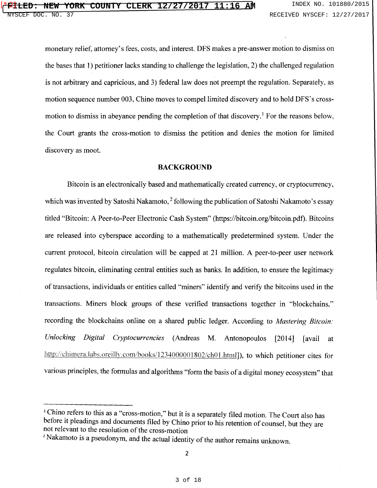monetary relief, attorney's fees, costs, and interest. DFS makes a pre-answer motion to dismiss on the bases that 1) petitioner lacks standing to challenge the legislation, 2) the challenged regulation is not arbitrary and capricious, and 3) federal law does not preempt the regulation. Separately, as motion sequence number 003, Chino moves to compel limited discovery and to hold DFS's crossmotion to dismiss in abeyance pending the completion of that discovery.<sup>1</sup> For the reasons below, the Court grants the cross-motion to dismiss the petition and denies the motion for limited discovery as moot.

#### **BACKGROUND**

Bitcoin is an electronically based and mathematically created currency, or cryptocurrency, which was invented by Satoshi Nakamoto,<sup>2</sup> following the publication of Satoshi Nakamoto's essay titled "Bitcoin: A Peer-to-Peer Electronic Cash System" (https://bitcoin.org/bitcoin.pdf). Bitcoins are released into cyberspace according to a mathematically predetermined system. Under the current protocol, bitcoin circulation will be capped at 21 million. A peer-to-peer user network regulates bitcoin, eliminating central entities such as banks. In addition, to ensure the legitimacy of transactions, individuals or entities called "miners" identify and verify the bitcoins used in the transactions. Miners block groups of these verified transactions together in "blockchains," recording the blockchains online on a shared public ledger. According to *Mastering Bitcoin: Unlocking Digital Cryptocurrencies* (Andreas M. Antonopoulos [2014] [avail at http://chimera.labs.oreilly.com/books/1234000001802/ch01.html]), to which petitioner cites for various principles, the formulas and algorithms "form the basis of a digital money ecosystem" that

<sup>&</sup>lt;sup>1</sup> Chino refers to this as a "cross-motion," but it is a separately filed motion. The Court also has before it pleadings and documents filed by Chino prior to his retention of counsel, but they are not relevant to the resolution of the cross-motion

<sup>&</sup>lt;sup>2</sup> Nakamoto is a pseudonym, and the actual identity of the author remains unknown.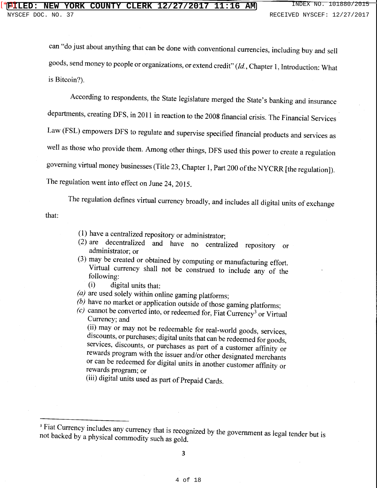can "do just about anything that can be done with conventional currencies, including buy and sell goods, send money to people or organizations, or extend credit" *(Id,* Chapter 1, Introduction: What is Bitcoin?).

According to respondents, the State legislature merged the State's banking and insurance departments, creating DFS, in 2011 in reaction to the 2008 financial crisis. The Financial Services Law (FSL) empowers DFS to regulate and supervise specified financial products and services as well as those who provide them. Among other things, DFS used this power to create a regulation governing virtual money businesses (Title 23, Chapter 1, Part 200 of the NYCRR [the regulation]). The regulation went into effect on June 24, 2015.

that: The regulation defines virtual currency broadly, and includes all digital units of exchange

- (1) have a centralized repository or administrator;
- (2) are decentralized and have no centralized repository or administrator; or
- (3) may be created or obtained by computing or manufacturing effort. Virtual currency shall not be construed to include any of the following:
	- (i) digital units that:
- *(a)* are used solely within online gaming platforms;
- *(b)* have no market or application outside of those gaming platforms;
- *(c)* cannot be converted into, or redeemed for, Fiat Currency3 or Virtual Currency; and

(ii) may or may not be redeemable for real-world goods, services, discounts, or purchases; digital units that can be redeemed for goods, services, discounts, or purchases as part of a customer affinity or rewards program with the issuer and/or other designated merchants or can be redeemed for digital units in another customer affinity or rewards program; or

(iii) digital units used as part of Prepaid Cards.

<sup>&</sup>lt;sup>3</sup> Fiat Currency includes any currency that is recognized by the government as legal tender but is not backed by a physical commodity such as gold.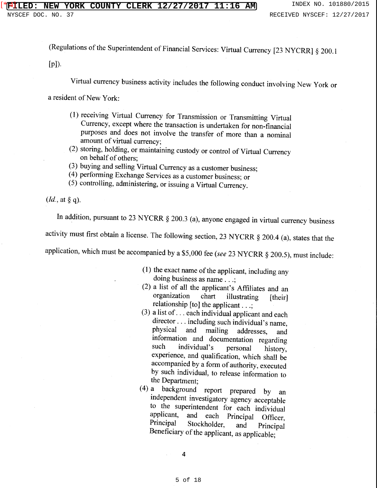(Regulations of the Superintendent of Financial Services: Virtual Currency [23 NYCRR] *§* 200.1

 $[p]$ ).

Virtual currency business activity includes the following conduct involving New York or

a resident of New York:

- (1) receiving Virtual Currency for Transmission or Transmitting Virtual Currency, except where the transaction is undertaken for non-financial purposes and does not involve the transfer of more than a nominal amount of virtual currency;
- (2) storing, holding, or maintaining custody or control of Virtual Currency on behalf of others;
- (3) buying and selling Virtual Currency as a customer business;
- ( 4) performing Exchange Services as a customer business; or
- (5) controlling, administering, or issuing a Virtual Currency.

*(Id.,* at § q).

In addition, pursuant to 23 NYCRR § 200.3 (a), anyone engaged in virtual currency business activity must first obtain a license. The following section, 23 NYCRR § 200.4 (a), states that the application, which must be accompanied by a \$5,000 fee *(see* 23 NYCRR § 200.5), must include:

- - (1) the exact name of the applicant, including any doing business as name . . .;
	- (2) a list of all the applicant's Affiliates and an organization chart illustrating [their] chart illustrating [their] relationship [to] the applicant . . .;
	- (3) a list of ... each individual applicant and each director ... including such individual's name,<br>physical and mailing addresses, and addresses, and information and documentation regarding<br>such individual's personal history such individual's personal history, experience, and qualification, which shall be accompanied by a form of authority, executed by such individual, to release information to the Department;
	- ( 4) a background report prepared by an independent investigatory agency acceptable to the superintendent for each individual<br>applicant, and each Principal Officer applicant, and each Principal Officer,<br>Principal Stockholder and Principal Principal Stockholder, and Principal Beneficiary of the applicant, as applicable: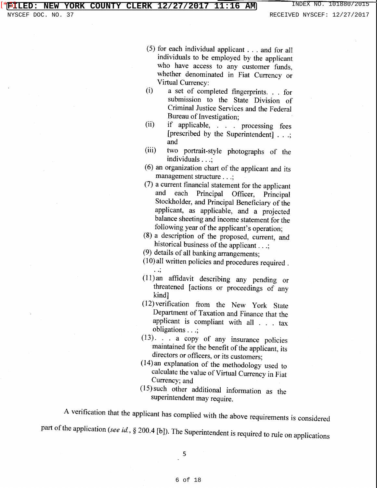- (5) for each individual applicant ... and for all individuals to be employed by the applicant who have access to any customer funds, whether denominated in Fiat Currency or Virtual Currency:
- (i) a set of completed fingerprints. . . for submission to the State Division of Criminal Justice Services and the Federal Bureau of Investigation;
- (ii) if applicable, . . . processing fees [prescribed by the Superintendent] . . .; and
- (iii) two portrait-style photographs of the individuals . . .;
- ( 6) an organization chart of the applicant and its management structure . . .;
- (7) a current financial statement for the applicant and each Principal Officer, Principal Stockholder, and Principal Beneficiary of the applicant, as applicable, and a projected balance sheeting and income statement for the following year of the applicant's operation;
- (8) a description of the proposed, current, and historical business of the applicant ...;
- (9) details of all banking arrangements;
- (lO)all written policies and procedures required . . . ,
- (11) an affidavit describing any pending or threatened [actions or proceedings of any kind]
- (12)verification from the New York State Department of Taxation and Finance that the applicant is compliant with all . . . tax obligations . . .;
- (13). . . a copy of any insurance policies maintained for the benefit of the applicant, its directors or officers, or its customers;
- (14)an explanation of the methodology used to calculate the value of Virtual Currency in Fiat Currency; and
- (15) such other additional information as the superintendent may require.

A verification that the applicant has complied with the above requirements is considered part of the application *(see id., §* 200.4 [b]). The Superintendent is required to rule on applications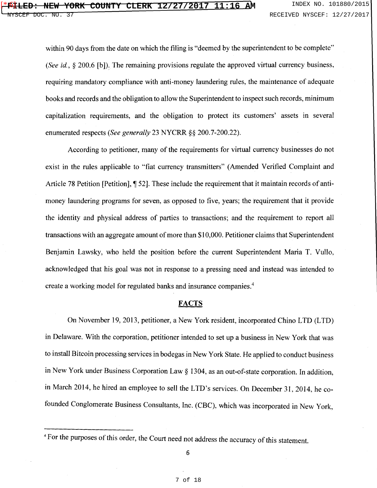within 90 days from the date on which the filing is "deemed by the superintendent to be complete" *(See id., §* 200.6 [b]). The remaining provisions regulate the approved virtual currency business, requiring mandatory compliance with anti-money laundering rules, the maintenance of adequate books and records and the obligation to allow the Superintendent to inspect such records, minimum capitalization requirements, and the obligation to protect its customers' assets in several enumerated respects *(See generally* 23 NYCRR §§ 200.7-200.22).

According to petitioner, many of the requirements for virtual currency businesses do not exist in the rules applicable to "fiat currency transmitters" (Amended Verified Complaint and Article 78 Petition [Petition],  $\parallel$  52]. These include the requirement that it maintain records of antimoney laundering programs for seven, as opposed to five, years; the requirement that it provide the identity and physical address of parties to transactions; and the requirement to report all transactions with an aggregate amount of more than \$10,000. Petitioner claims that Superintendent Benjamin Lawsky, who held the position before the current Superintendent Maria T. Vullo, acknowledged that his goal was not in response to a pressing need and instead was intended to create a working model for regulated banks and insurance companies.<sup>4</sup>

## **FACTS**

On November 19, 2013, petitioner, a New York resident, incorporated Chino LTD (LTD) in Delaware. With the corporation, petitioner intended to set up a business in New York that was to install Bitcoin processing services in bodegas in New York State. He applied to conduct business in New York under Business Corporation Law§ 1304, as an out-of-state corporation. In addition, in March 2014, he hired an employee to sell the LTD's services. On December 31, 2014, he cofounded Conglomerate Business Consultants, Inc. (CBC), which was incorporated in New York,

<sup>4</sup> For the purposes of this order, the Court need not address the accuracy of this statement.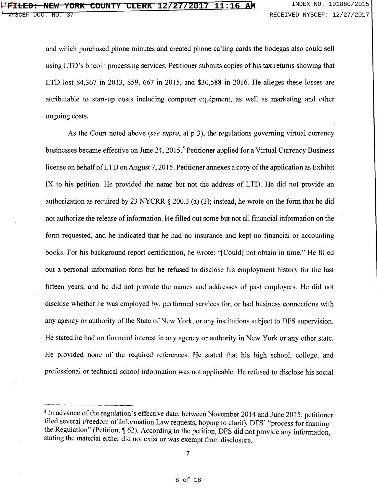and which purchased phone minutes and created phone calling cards the bodegas also could sell using LTD's bitcoin processing services. Petitioner submits copies of his tax returns showing that LTD lost \$4,367 in 2013, \$59, 667 in 2015, and \$30,588 in 2016. He alleges these losses are attributable to start-up costs including computer equipment, as well as marketing and other ongoing costs.

As the Court noted above *(see supra,* at p 3), the regulations governing virtual currency businesses became effective on June 24, 2015.<sup>5</sup> Petitioner applied for a Virtual Currency Business license on behalf of LTD on August 7, 2015. Petitioner annexes a copy of the application as Exhibit IX to his petition. He provided the name but not the address of LTD. He did not provide an authorization as required by 23 NYCRR *§* 200.3 (a) (3); instead, he wrote on the form that he did not authorize the release of information. He filled out some but not all financial information on the form requested, and he indicated that he had no insurance and kept no financial or accounting books. For his background report certification, he wrote: "[Could] not obtain in time." He filled out a personal information form but he refused to disclose his employment history for the last fifteen years, and he did not provide the names and addresses of past employers. He did not disclose whether he was employed by, performed services for, or had business connections with any agency or authority of the State of New York, or any institutions subject to DFS supervision. He stated he had no financial interest in any agency or authority in New York or any other state. He provided none of the required references. He stated that his high school, college, and professional or technical school information was not applicable. He refused to disclose his social

<sup>&</sup>lt;sup>5</sup> In advance of the regulation's effective date, between November 2014 and June 2015, petitioner filed several Freedom of Information Law requests, hoping to clarify DFS' "process for framing the Regulation" (Petition,  $\sqrt{\ }$  62). According to the petition, DFS did not provide any information, stating the material either did not exist or was exempt from disclosure.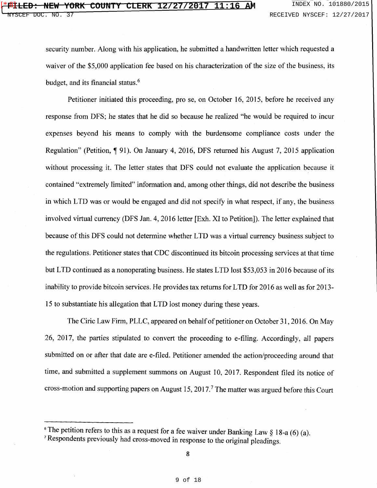security number. Along with his application, he submitted a handwritten letter which requested a waiver of the \$5,000 application fee based on his characterization of the size of the business, its budget, and its financial status.<sup>6</sup>

Petitioner initiated this proceeding, prose, on October 16, 2015, before he received any response from DFS; he states that he did so because he realized "he would be required to incur expenses beyond his means to comply with the burdensome compliance costs under the Regulation" (Petition, ¶ 91). On January 4, 2016, DFS returned his August 7, 2015 application without processing it. The letter states that DFS could not evaluate the application because it contained "extremely limited" information and, among other things, did not describe the business in which LTD was or would be engaged and did not specify in what respect, if any, the business involved virtual currency (DFS Jan. 4, 2016 letter [Exh. XI to Petition]). The letter explained that because of this DFS could not determine whether LTD was a virtual currency business subject to the regulations. Petitioner states that CDC discontinued its bitcoin processing services at that time but LTD continued as a nonoperating business. He states LTD lost \$53,053 in 2016 because of its inability to provide bitcoin services. He provides tax returns for LTD for 2016 as well as for 2013- 15 to substantiate his allegation that LTD lost money during these years.

The Ciric Law Firm, PLLC, appeared on behalf of petitioner on October 31, 2016. On May 26, 2017, the parties stipulated to convert the proceeding to e-filing. Accordingly, all papers submitted on or after that date are e-filed. Petitioner amended the action/proceeding around that time, and submitted a supplement summons on August 10, 2017. Respondent filed its notice of cross-motion and supporting papers on August 15, 2017. <sup>7</sup>The matter was argued before this Court

<sup>&</sup>lt;sup>6</sup> The petition refers to this as a request for a fee waiver under Banking Law  $\S$  18-a (6) (a).

<sup>7</sup>Respondents previously had cross-moved in response to the original pleadings.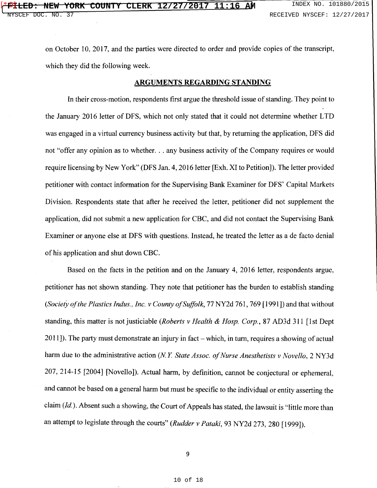on October 10, 2017, and the parties were directed to order and provide copies of the transcript, which they did the following week.

#### **ARGUMENTS REGARDING STANDING**

In their cross-motion, respondents first argue the threshold issue of standing. They point to the January 2016 letter of DFS, which not only stated that it could not determine whether LTD was engaged in a virtual currency business activity but that, by returning the application, DFS did not "offer any opinion as to whether... any business activity of the Company requires or would require licensing by New York" (DFS Jan. 4, 2016 letter [Exh. XI to Petition]). The letter provided petitioner with contact information for the Supervising Bank Examiner for DFS' Capital Markets Division. Respondents state that after he received the letter, petitioner did not supplement the application, did not submit a new application for CBC, and did not contact the Supervising Bank Examiner or anyone else at DFS with questions. Instead, he treated the letter as a de facto denial of his application and shut down CBC.

Based on the facts in the petition and on the January 4, 2016 letter, respondents argue, petitioner has not shown standing. They note that petitioner has the burden to establish standing *(Society of the Plastics Indus., Inc. v County of Suffolk,* 77 NY2d 761, 769 [1991]) and that without standing, this matter is not justiciable *(Roberts v Health* & *Hosp. Corp.,* 87 AD3d 311 [1st Dept  $2011$ ]). The party must demonstrate an injury in fact – which, in turn, requires a showing of actual harm due to the administrative action *(N.Y. State Assoc. of Nurse Anesthetists v Novello,* 2 NY3d 207, 214-15 [2004] [Novello]). Actual harm, by definition, cannot be conjectural or ephemeral, and cannot be based on a general harm but must be specific to the individual or entity asserting the claim (Id). Absent such a showing, the Court of Appeals has stated, the lawsuit is "little more than an attempt to legislate through the courts" *(Rudder v Pataki,* 93 NY2d 273, 280 [1999]).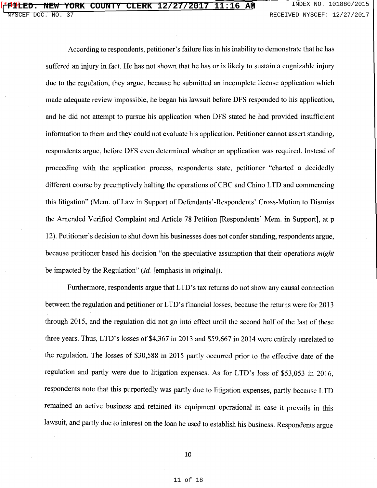According to respondents, petitioner's failure lies in his inability to demonstrate that he has suffered an injury in fact. He has not shown that he has or is likely to sustain a cognizable injury due to the regulation, they argue, because he submitted an incomplete license application which made adequate review impossible, he began his lawsuit before DFS responded to his application, and he did not attempt to pursue his application when DFS stated he had provided insufficient information to them and they could not evaluate his application. Petitioner cannot assert standing, respondents argue, before DFS even determined whether an application was required. Instead of proceeding with the application process, respondents state, petitioner "charted a decidedly different course by preemptively halting the operations of CBC and Chino LTD and commencing this litigation" (Mem. of Law in Support of Defendants' -Respondents' Cross-Motion to Dismiss the Amended Verified Complaint and Article 78 Petition [Respondents' Mem. in Support], at p 12). Petitioner's decision to shut down his businesses does not confer standing, respondents argue, because petitioner based his decision "on the speculative assumption that their operations *might*  be impacted by the Regulation" *(Id.* [emphasis in original]).

Furthermore, respondents argue that LTD's tax returns do not show any causal connection between the regulation and petitioner or LTD's financial losses, because the returns were for 2013 through 2015, and the regulation did not go into effect until the second half of the last of these three years. Thus, LTD's losses of \$4,367 in 2013 and \$59,667 in 2014 were entirely unrelated to the regulation. The losses of \$30,588 in 2015 partly occurred prior to the effective date of the regulation and partly were due to litigation expenses. As for LTD's loss of \$53,053 in 2016, respondents note that this purportedly was partly due to litigation expenses, partly because LTD remained an active business and retained its equipment operational in case it prevails in this lawsuit, and partly due to interest on the loan he used to establish his business. Respondents argue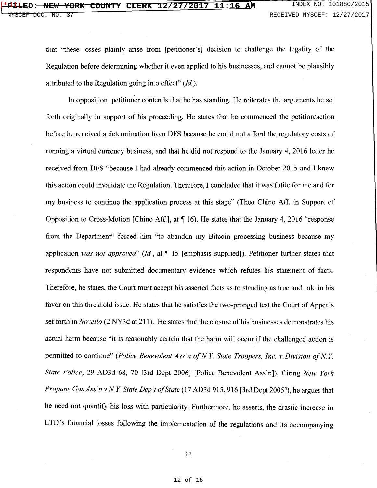#### **FILED: NEW YORK COUNTY CLERK 12/27/2017 11:16 AM** INDEX NO. 101880/2015  $[41]$

that "these losses plainly arise from [petitioner's] decision to challenge the legality of the Regulation before determining whether it even applied to his businesses, and cannot be plausibly attributed to the Regulation going into effect" *(Id).* 

In opposition, petitioner contends that he has standing. He reiterates the arguments he set forth originally in support of his proceeding. He states that he commenced the petition/action before he received a determination from DFS because he could not afford the regulatory costs of running a virtual currency business, and that he did not respond to the January 4, 2016 letter he received from DFS "because I had already commenced this action in October 2015 and I knew this action could invalidate the Regulation. Therefore, I concluded that it was futile for me and for my business to continue the application process at this stage" (Theo Chino Aff. in Support of Opposition to Cross-Motion [Chino Aff.], at  $\P$  16). He states that the January 4, 2016 "response from the Department" forced him "to abandon my Bitcoin processing business because my application *was not approved*" (Id., at  $\P$  15 [emphasis supplied]). Petitioner further states that respondents have not submitted documentary evidence which refutes his statement of facts. Therefore, he states, the Court must accept his asserted facts as to standing as true and rule in his favor on this threshold issue. He states that he satisfies the two-pronged test the Court of Appeals set forth in *Novello* (2 NY3d at 211 ). He states that the closure of his businesses demonstrates his actual harm because "it is reasonably certain that the harm will occur if the challenged action is permitted to continue" *(Police Benevolent Ass'n of N.Y. State Troopers, Inc. v Division of N.Y. State Police,* 29 AD3d 68, 70 [3rd Dept 2006] [Police Benevolent Ass'n]). Citing *New York Propane Gas Ass'n v N.Y. State Dep't of State* (17 AD3d 915, 916 [3rd Dept 2005]), he argues that he need not quantify his loss with particularity. Furthermore, he asserts, the drastic increase in LTD's financial losses following the implementation of the regulations and its accompanying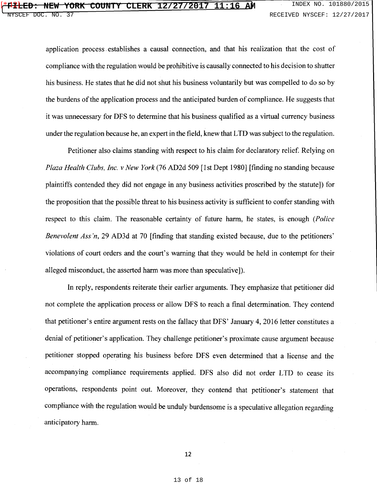## **F<sup>1</sup>1 ED: NEW YORK COUNTY CLERK 12/27/2017 11:16 AM** INDEX NO. 101880/2015  $*12$

application process. establishes a causal connection, and that his realization that the cost of compliance with the regulation would be prohibitive is causally connected to his decision to shutter his business. He states that he did not shut his business voluntarily but was compelled to do so by the burdens of the application process and the anticipated burden of compliance. He suggests that it was unnecessary for DFS to determine that his business qualified as a virtual currency business under the regulation because he, an expert in the field, knew that LTD was subject to the regulation.

Petitioner also claims standing with respect to his claim for declaratory relief. Relying on *Plaza Health Clubs, Inc. v New York* (76 AD2d 509 [1st Dept 1980] [finding no standing because plaintiffs contended they did not engage in any business activities proscribed by the statute]) for the proposition that the possible threat to his business activity is sufficient to confer standing with respect to this claim. The reasonable certainty of future harm, he states, is enough *(Police Benevolent Ass 'n,* 29 AD3d at 70 [finding that standing existed because, due to the petitioners' violations of court orders and the court's warning that they would be held in contempt for their alleged misconduct, the asserted harm was more than speculative]).

In reply, respondents reiterate their earlier arguments. They emphasize that petitioner did not complete the application process or allow DFS to reach a final determination. They contend that petitioner's entire argument rests on the fallacy that DFS' January 4, 2016 letter constitutes a denial of petitioner's application. They challenge petitioner's proximate cause argument because petitioner stopped operating his business before DFS even determined that a license and the accompanying compliance requirements applied. DFS also did not order LTD to cease its operations, respondents point out. Moreover, they contend that petitioner's statement that compliance with the regulation would be unduly burdensome is a speculative allegation regarding anticipatory harm.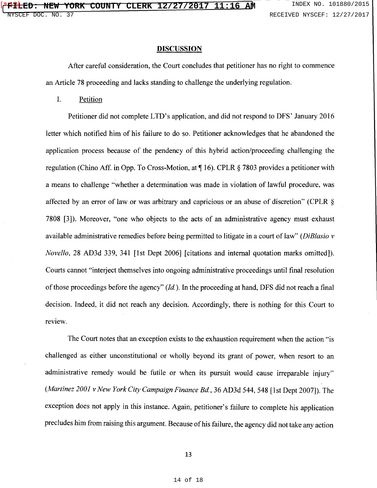#### **DISCUSSION**

After careful consideration, the Court concludes that petitioner has no right to commence an Article 78 proceeding and lacks standing to challenge the underlying regulation.

I. Petition

Petitioner did not complete LTD's application, and did not respond to DFS' January 2016 letter which notified him of his failure to do so. Petitioner acknowledges that he abandoned the application process because of the pendency of this hybrid action/proceeding challenging the regulation (Chino Aff. in Opp. To Cross-Motion, at  $\P$  16). CPLR  $\S$  7803 provides a petitioner with a means to challenge "whether a determination was made in violation of lawful procedure, was affected by an error of law or was arbitrary and capricious or an abuse of discretion" (CPLR *§*  7808 [3]). Moreover, "one who objects to the acts of an administrative agency must exhaust available administrative remedies before being permitted to litigate in a court of law" *(DiBlasio v Novello,* 28 AD3d 339, 341 [1st Dept 2006] [citations and internal quotation marks omitted]). Courts cannot "interject themselves into ongoing administrative proceedings until final resolution of those proceedings before the agency" *(Id).* In the proceeding at hand, DFS did not reach a final decision. Indeed, it did not reach any decision. Accordingly, there is nothing for this Court to review.

The Court notes that an exception exists to the exhaustion requirement when the action "is challenged as either unconstitutional or wholly beyond its grant of power, when resort to an administrative remedy would be futile or when its pursuit would cause irreparable injury" *(Martinez 2001 v New York City Campaign Finance Bd,* 36 AD3d 544, 548 [1st Dept 2007]). The exception does not apply in this instance. Again, petitioner's failure to complete his application precludes him from raising this argument. Because of his failure, the agency did not take any action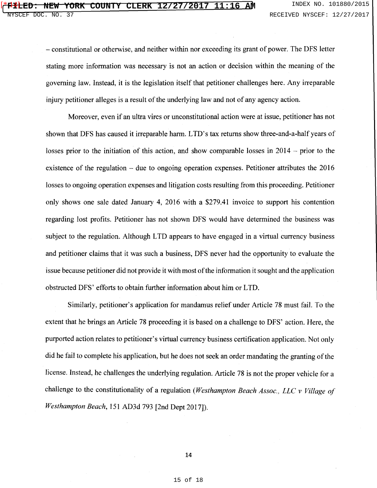- constitutional or otherwise, and neither within nor exceeding its grant of power. The DFS letter stating more information was necessary is not an action or decision within the meaning of the governing law. Instead, it is the legislation itself that petitioner challenges here. Any irreparable injury petitioner alleges is a result of the underlying law and not of any agency action.

Moreover, even if an ultra vires or unconstitutional action were at issue, petitioner has not shown that DFS has caused it irreparable harm. LTD's tax returns show three-and-a-half years of losses prior to the initiation of this action, and show comparable losses in 2014 - prior to the existence of the regulation  $-$  due to ongoing operation expenses. Petitioner attributes the 2016 losses to ongoing operation expenses and litigation costs resulting from this proceeding. Petitioner only shows one sale dated January 4, 2016 with a \$279.41 invoice to support his contention regarding lost profits. Petitioner has not shown DFS would have determined the business was subject to the regulation. Although LTD appears to have engaged in a virtual currency business and petitioner claims that it was such a business, DFS never had the opportunity to evaluate the issue because petitioner did not provide it with most of the information it sought and the application obstructed DFS' efforts to obtain further information about him or LTD.

Similarly, petitioner's application for mandamus relief under Article 78 must fail. To the extent that he brings an Article 78 proceeding it is based on a challenge to DFS' action. Here, the purported action relates to petitioner's virtual currency business certification application. Not only did he fail to complete his application, but he does not seek an order mandating the granting of the license. Instead, he challenges the underlying regulation. Article 78 is not the proper vehicle for a challenge to the constitutionality of a regulation *(Westhampton Beach Assoc., LLC v Village of Westhampton Beach,* 151 AD3d 793 [2nd Dept 2017]).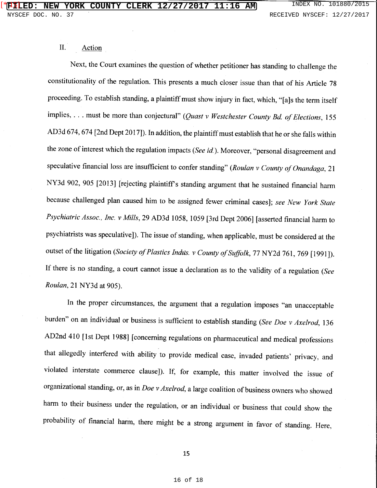# II. Action

Next, the Court examines the question of whether petitioner has standing to challenge the constitutionality of the regulation. This presents a much closer issue than that of his Article 78 proceeding. To establish standing, a plaintiff must show injury in fact, which, "[a]s the term itself implies, . . . must be more than conjectural" *(Quast v Westchester County Bd. of Elections*, 155 AD3d 674, 674 [2nd Dept 2017]). In addition, the plaintiff must establish that he or she falls within the zone of interest which the regulation impacts *(See id).* Moreover, "personal disagreement and speculative financial loss are insufficient to confer standing" (Roulan v County of Onandaga, 21 NY3d 902, 905 [2013] [rejecting plaintiff's standing argument that he sustained financial harm because challenged plan caused him to be assigned fewer criminal cases]; *see New York State Psychiatric Assoc., Inc. v Mills,* 29 AD3d 1058, 1059 [3rd Dept 2006] [asserted financial harm to psychiatrists was speculative]). The issue of standing, when applicable, must be considered at the outset of the litigation *(Society of Plastics Indus. v County of Suffolk,* 77 NY2d 761, 769 [1991]). If there is no standing, a court cannot issue a declaration as to the validity of a regulation *(See Rau/an,* 21 NY3d at 905).

In the proper circumstances, the argument that a regulation imposes "an unacceptable burden" on an individual or business is sufficient to establish standing *(See Doe v Axelrod,* 136 AD 2nd 410 [1st Dept 1988] [concerning regulations on pharmaceutical and medical professions that allegedly interfered with ability to provide medical case, invaded patients' privacy, and violated interstate commerce clause]). If, for example, this matter involved the issue of organizational standing, or, as in *Doe v Axelrod,* a large coalition of business owners who showed harm to their business under the regulation, or an individual or business that could show the probability of financial harm, there might be a strong argument in favor of standing. Here,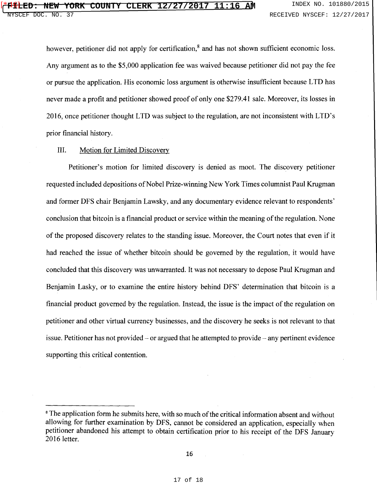however, petitioner did not apply for certification,<sup>8</sup> and has not shown sufficient economic loss. Any argument as to the \$5,000 application fee was waived because petitioner did not pay the fee or pursue the application. His economic loss argument is otherwise insufficient because LTD has never made a profit and petitioner showed proof of only one \$279.41 sale. Moreover, its losses in 2016, once petitioner thought LTD was subject to the regulation, are not inconsistent with LTD' s prior financial history.

### III. Motion for Limited Discovery

Petitioner's motion for limited discovery is denied as moot. The discovery petitioner requested included depositions of Nobel Prize-winning New York Times columnist Paul Krugman and former DFS chair Benjamin Lawsky, and any documentary evidence relevant to respondents' conclusion that bitcoin is a financial product or service within the meaning of the regulation. None of the proposed discovery relates to the standing issue. Moreover, the Court notes that even if it had reached the issue of whether bitcoin should be governed by the regulation, it would have concluded that this discovery was unwarranted. It was not necessary to depose Paul Krugman and Benjamin Lasky, or to examine the entire history behind DFS' determination that bitcoin is a financial product governed by the regulation. Instead, the issue is the impact of the regulation on petitioner and other virtual currency businesses, and the discovery he seeks is not relevant to that issue. Petitioner has not provided  $-$  or argued that he attempted to provide  $-$  any pertinent evidence supporting this critical contention.

<sup>&</sup>lt;sup>8</sup> The application form he submits here, with so much of the critical information absent and without allowing for further examination by DFS, cannot be considered an application, especially when petitioner abandoned his attempt to obtain certification prior to his receipt of the DFS January 2016 letter.